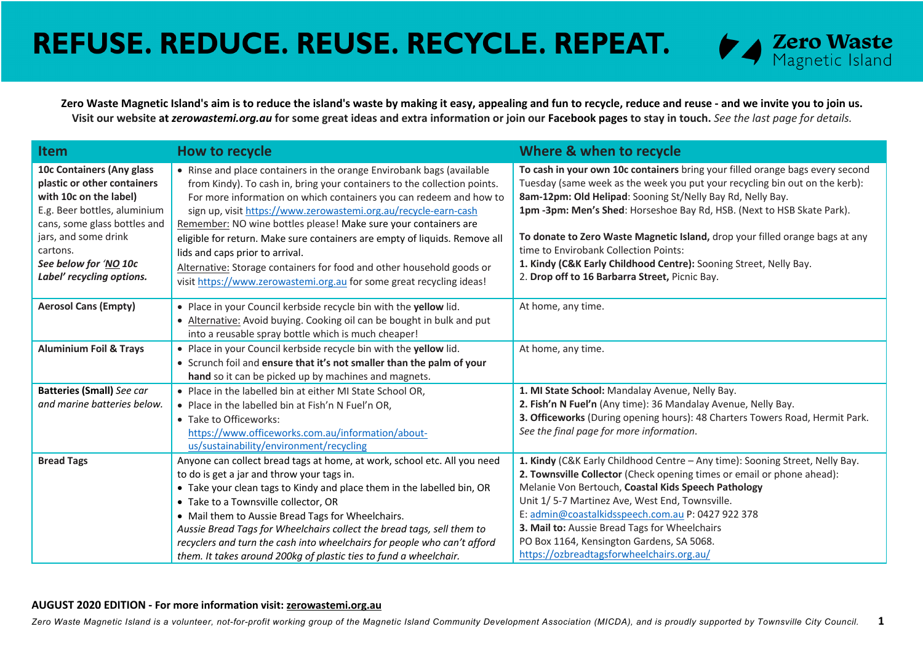

**Zero Waste Magnetic Island's aim is to reduce the island's waste by making it easy, appealing and fun to recycle, reduce and reuse - and we invite you to join us. Visit our website at** *zerowastemi.org.au* **for some great ideas and extra information or join our Facebook pages to stay in touch.** *See the last page for details.*

| <b>Item</b>                                                                                                                                                                                                                                  | How to recycle                                                                                                                                                                                                                                                                                                                                                                                                                                                                                                                                                                                                                  | Where & when to recycle                                                                                                                                                                                                                                                                                                                                                                                                                                                                                                                              |
|----------------------------------------------------------------------------------------------------------------------------------------------------------------------------------------------------------------------------------------------|---------------------------------------------------------------------------------------------------------------------------------------------------------------------------------------------------------------------------------------------------------------------------------------------------------------------------------------------------------------------------------------------------------------------------------------------------------------------------------------------------------------------------------------------------------------------------------------------------------------------------------|------------------------------------------------------------------------------------------------------------------------------------------------------------------------------------------------------------------------------------------------------------------------------------------------------------------------------------------------------------------------------------------------------------------------------------------------------------------------------------------------------------------------------------------------------|
| 10c Containers (Any glass<br>plastic or other containers<br>with 10c on the label)<br>E.g. Beer bottles, aluminium<br>cans, some glass bottles and<br>jars, and some drink<br>cartons.<br>See below for 'NO 10c<br>Label' recycling options. | • Rinse and place containers in the orange Envirobank bags (available<br>from Kindy). To cash in, bring your containers to the collection points.<br>For more information on which containers you can redeem and how to<br>sign up, visit https://www.zerowastemi.org.au/recycle-earn-cash<br>Remember: NO wine bottles please! Make sure your containers are<br>eligible for return. Make sure containers are empty of liquids. Remove all<br>lids and caps prior to arrival.<br>Alternative: Storage containers for food and other household goods or<br>visit https://www.zerowastemi.org.au for some great recycling ideas! | To cash in your own 10c containers bring your filled orange bags every second<br>Tuesday (same week as the week you put your recycling bin out on the kerb):<br>8am-12pm: Old Helipad: Sooning St/Nelly Bay Rd, Nelly Bay.<br>1pm -3pm: Men's Shed: Horseshoe Bay Rd, HSB. (Next to HSB Skate Park).<br>To donate to Zero Waste Magnetic Island, drop your filled orange bags at any<br>time to Envirobank Collection Points:<br>1. Kindy (C&K Early Childhood Centre): Sooning Street, Nelly Bay.<br>2. Drop off to 16 Barbarra Street, Picnic Bay. |
| <b>Aerosol Cans (Empty)</b>                                                                                                                                                                                                                  | . Place in your Council kerbside recycle bin with the yellow lid.<br>• Alternative: Avoid buying. Cooking oil can be bought in bulk and put<br>into a reusable spray bottle which is much cheaper!                                                                                                                                                                                                                                                                                                                                                                                                                              | At home, any time.                                                                                                                                                                                                                                                                                                                                                                                                                                                                                                                                   |
| <b>Aluminium Foil &amp; Trays</b>                                                                                                                                                                                                            | . Place in your Council kerbside recycle bin with the yellow lid.<br>• Scrunch foil and ensure that it's not smaller than the palm of your<br>hand so it can be picked up by machines and magnets.                                                                                                                                                                                                                                                                                                                                                                                                                              | At home, any time.                                                                                                                                                                                                                                                                                                                                                                                                                                                                                                                                   |
| <b>Batteries (Small)</b> See car<br>and marine batteries below.                                                                                                                                                                              | • Place in the labelled bin at either MI State School OR,<br>• Place in the labelled bin at Fish'n N Fuel'n OR,<br>• Take to Officeworks:<br>https://www.officeworks.com.au/information/about-<br>us/sustainability/environment/recycling                                                                                                                                                                                                                                                                                                                                                                                       | 1. MI State School: Mandalay Avenue, Nelly Bay.<br>2. Fish'n N Fuel'n (Any time): 36 Mandalay Avenue, Nelly Bay.<br>3. Officeworks (During opening hours): 48 Charters Towers Road, Hermit Park.<br>See the final page for more information.                                                                                                                                                                                                                                                                                                         |
| <b>Bread Tags</b>                                                                                                                                                                                                                            | Anyone can collect bread tags at home, at work, school etc. All you need<br>to do is get a jar and throw your tags in.<br>• Take your clean tags to Kindy and place them in the labelled bin, OR<br>• Take to a Townsville collector, OR<br>• Mail them to Aussie Bread Tags for Wheelchairs.<br>Aussie Bread Tags for Wheelchairs collect the bread tags, sell them to<br>recyclers and turn the cash into wheelchairs for people who can't afford<br>them. It takes around 200kg of plastic ties to fund a wheelchair.                                                                                                        | 1. Kindy (C&K Early Childhood Centre - Any time): Sooning Street, Nelly Bay.<br>2. Townsville Collector (Check opening times or email or phone ahead):<br>Melanie Von Bertouch, Coastal Kids Speech Pathology<br>Unit 1/5-7 Martinez Ave, West End, Townsville.<br>E: admin@coastalkidsspeech.com.au P: 0427 922 378<br>3. Mail to: Aussie Bread Tags for Wheelchairs<br>PO Box 1164, Kensington Gardens, SA 5068.<br>https://ozbreadtagsforwheelchairs.org.au/                                                                                      |

#### **AUGUST 2020 EDITION - For more information visit: zerowastemi.org.au**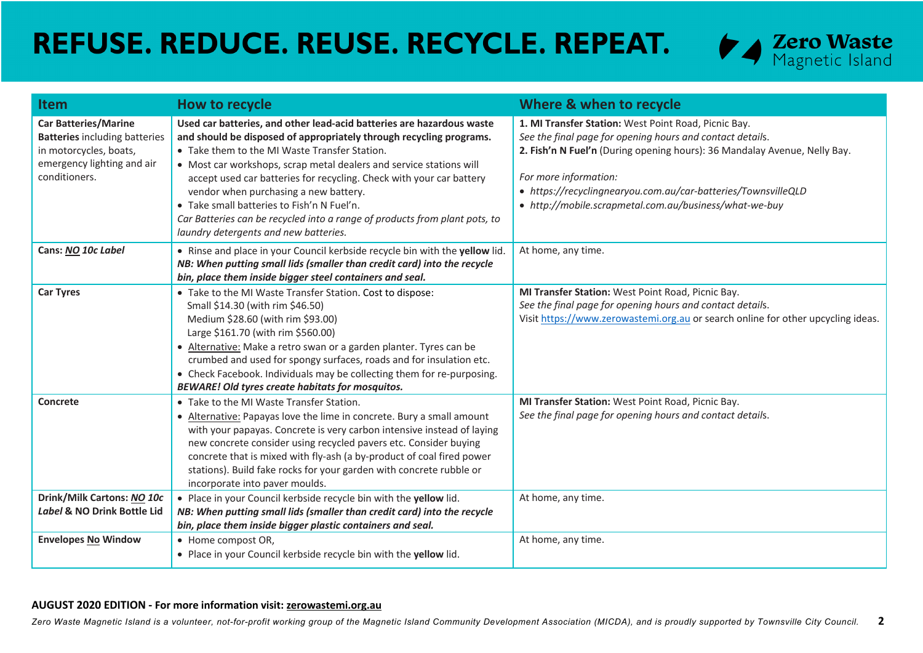

| <b>Item</b>                                                                                                                                  | How to recycle                                                                                                                                                                                                                                                                                                                                                                                                                                                                                                                                             | Where & when to recycle                                                                                                                                                                                                                                                                                                                            |
|----------------------------------------------------------------------------------------------------------------------------------------------|------------------------------------------------------------------------------------------------------------------------------------------------------------------------------------------------------------------------------------------------------------------------------------------------------------------------------------------------------------------------------------------------------------------------------------------------------------------------------------------------------------------------------------------------------------|----------------------------------------------------------------------------------------------------------------------------------------------------------------------------------------------------------------------------------------------------------------------------------------------------------------------------------------------------|
| <b>Car Batteries/Marine</b><br><b>Batteries including batteries</b><br>in motorcycles, boats,<br>emergency lighting and air<br>conditioners. | Used car batteries, and other lead-acid batteries are hazardous waste<br>and should be disposed of appropriately through recycling programs.<br>• Take them to the MI Waste Transfer Station.<br>• Most car workshops, scrap metal dealers and service stations will<br>accept used car batteries for recycling. Check with your car battery<br>vendor when purchasing a new battery.<br>• Take small batteries to Fish'n N Fuel'n.<br>Car Batteries can be recycled into a range of products from plant pots, to<br>laundry detergents and new batteries. | 1. MI Transfer Station: West Point Road, Picnic Bay.<br>See the final page for opening hours and contact details.<br>2. Fish'n N Fuel'n (During opening hours): 36 Mandalay Avenue, Nelly Bay.<br>For more information:<br>• https://recyclingnearyou.com.au/car-batteries/TownsvilleQLD<br>• http://mobile.scrapmetal.com.au/business/what-we-buy |
| Cans: NO 10c Label                                                                                                                           | . Rinse and place in your Council kerbside recycle bin with the yellow lid.<br>NB: When putting small lids (smaller than credit card) into the recycle<br>bin, place them inside bigger steel containers and seal.                                                                                                                                                                                                                                                                                                                                         | At home, any time.                                                                                                                                                                                                                                                                                                                                 |
| <b>Car Tyres</b>                                                                                                                             | • Take to the MI Waste Transfer Station. Cost to dispose:<br>Small \$14.30 (with rim \$46.50)<br>Medium \$28.60 (with rim \$93.00)<br>Large \$161.70 (with rim \$560.00)<br>• Alternative: Make a retro swan or a garden planter. Tyres can be<br>crumbed and used for spongy surfaces, roads and for insulation etc.<br>• Check Facebook. Individuals may be collecting them for re-purposing.<br><b>BEWARE! Old tyres create habitats for mosquitos.</b>                                                                                                 | MI Transfer Station: West Point Road, Picnic Bay.<br>See the final page for opening hours and contact details.<br>Visit https://www.zerowastemi.org.au or search online for other upcycling ideas.                                                                                                                                                 |
| Concrete                                                                                                                                     | • Take to the MI Waste Transfer Station.<br>• Alternative: Papayas love the lime in concrete. Bury a small amount<br>with your papayas. Concrete is very carbon intensive instead of laying<br>new concrete consider using recycled pavers etc. Consider buying<br>concrete that is mixed with fly-ash (a by-product of coal fired power<br>stations). Build fake rocks for your garden with concrete rubble or<br>incorporate into paver moulds.                                                                                                          | MI Transfer Station: West Point Road, Picnic Bay.<br>See the final page for opening hours and contact details.                                                                                                                                                                                                                                     |
| Drink/Milk Cartons: NO 10c<br>Label & NO Drink Bottle Lid                                                                                    | . Place in your Council kerbside recycle bin with the yellow lid.<br>NB: When putting small lids (smaller than credit card) into the recycle<br>bin, place them inside bigger plastic containers and seal.                                                                                                                                                                                                                                                                                                                                                 | At home, any time.                                                                                                                                                                                                                                                                                                                                 |
| <b>Envelopes No Window</b>                                                                                                                   | • Home compost OR,<br>. Place in your Council kerbside recycle bin with the yellow lid.                                                                                                                                                                                                                                                                                                                                                                                                                                                                    | At home, any time.                                                                                                                                                                                                                                                                                                                                 |

#### **AUGUST 2020 EDITION - For more information visit: zerowastemi.org.au**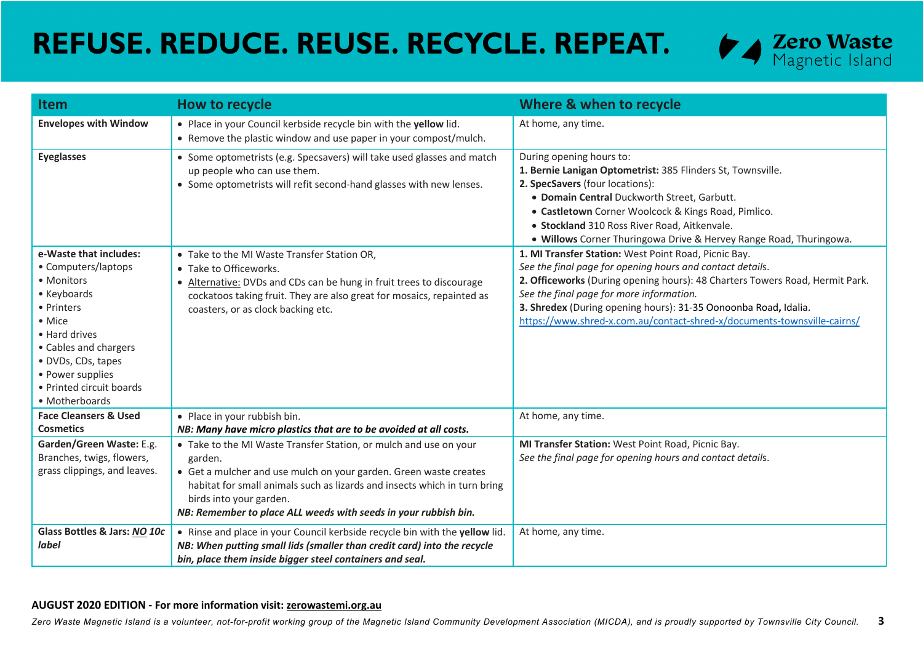

| <b>Item</b>                                                                                                                                                                                                                          | How to recycle                                                                                                                                                                                                                                                                                                               | Where & when to recycle                                                                                                                                                                                                                                                                                                                                                                     |
|--------------------------------------------------------------------------------------------------------------------------------------------------------------------------------------------------------------------------------------|------------------------------------------------------------------------------------------------------------------------------------------------------------------------------------------------------------------------------------------------------------------------------------------------------------------------------|---------------------------------------------------------------------------------------------------------------------------------------------------------------------------------------------------------------------------------------------------------------------------------------------------------------------------------------------------------------------------------------------|
| <b>Envelopes with Window</b>                                                                                                                                                                                                         | . Place in your Council kerbside recycle bin with the yellow lid.<br>• Remove the plastic window and use paper in your compost/mulch.                                                                                                                                                                                        | At home, any time.                                                                                                                                                                                                                                                                                                                                                                          |
| <b>Eyeglasses</b>                                                                                                                                                                                                                    | • Some optometrists (e.g. Specsavers) will take used glasses and match<br>up people who can use them.<br>• Some optometrists will refit second-hand glasses with new lenses.                                                                                                                                                 | During opening hours to:<br>1. Bernie Lanigan Optometrist: 385 Flinders St, Townsville.<br>2. SpecSavers (four locations):<br>· Domain Central Duckworth Street, Garbutt.<br>• Castletown Corner Woolcock & Kings Road, Pimlico.<br>· Stockland 310 Ross River Road, Aitkenvale.<br>. Willows Corner Thuringowa Drive & Hervey Range Road, Thuringowa.                                      |
| e-Waste that includes:<br>• Computers/laptops<br>• Monitors<br>• Keyboards<br>• Printers<br>• Mice<br>• Hard drives<br>• Cables and chargers<br>· DVDs, CDs, tapes<br>• Power supplies<br>• Printed circuit boards<br>• Motherboards | • Take to the MI Waste Transfer Station OR,<br>• Take to Officeworks.<br>• Alternative: DVDs and CDs can be hung in fruit trees to discourage<br>cockatoos taking fruit. They are also great for mosaics, repainted as<br>coasters, or as clock backing etc.                                                                 | 1. MI Transfer Station: West Point Road, Picnic Bay.<br>See the final page for opening hours and contact details.<br>2. Officeworks (During opening hours): 48 Charters Towers Road, Hermit Park.<br>See the final page for more information.<br>3. Shredex (During opening hours): 31-35 Oonoonba Road, Idalia.<br>https://www.shred-x.com.au/contact-shred-x/documents-townsville-cairns/ |
| <b>Face Cleansers &amp; Used</b><br><b>Cosmetics</b>                                                                                                                                                                                 | • Place in your rubbish bin.<br>NB: Many have micro plastics that are to be avoided at all costs.                                                                                                                                                                                                                            | At home, any time.                                                                                                                                                                                                                                                                                                                                                                          |
| Garden/Green Waste: E.g.<br>Branches, twigs, flowers,<br>grass clippings, and leaves.                                                                                                                                                | • Take to the MI Waste Transfer Station, or mulch and use on your<br>garden.<br>• Get a mulcher and use mulch on your garden. Green waste creates<br>habitat for small animals such as lizards and insects which in turn bring<br>birds into your garden.<br>NB: Remember to place ALL weeds with seeds in your rubbish bin. | MI Transfer Station: West Point Road, Picnic Bay.<br>See the final page for opening hours and contact details.                                                                                                                                                                                                                                                                              |
| Glass Bottles & Jars: NO 10c<br><b>label</b>                                                                                                                                                                                         | . Rinse and place in your Council kerbside recycle bin with the yellow lid.<br>NB: When putting small lids (smaller than credit card) into the recycle<br>bin, place them inside bigger steel containers and seal.                                                                                                           | At home, any time.                                                                                                                                                                                                                                                                                                                                                                          |

#### **AUGUST 2020 EDITION - For more information visit: zerowastemi.org.au**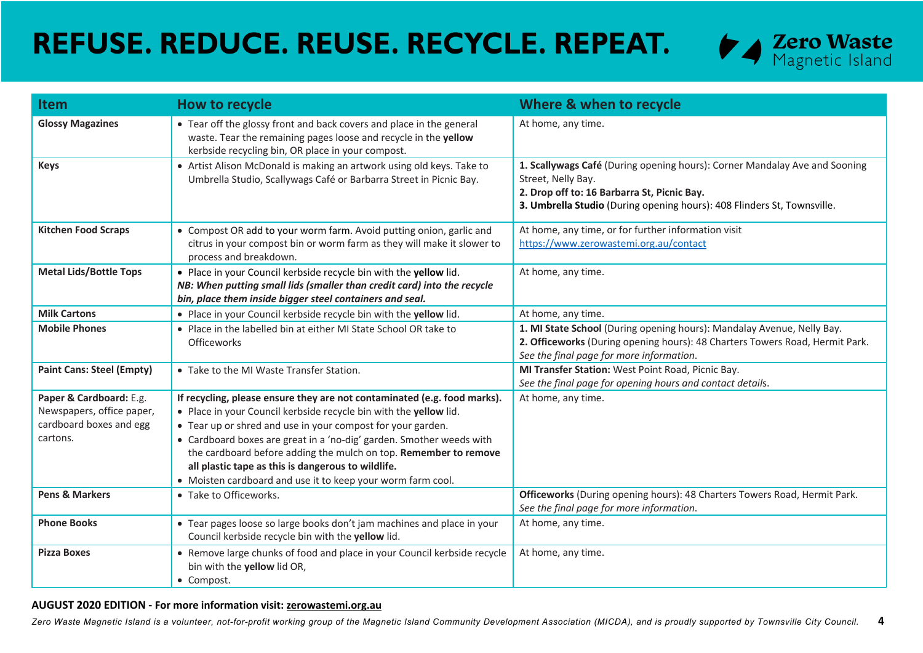

| <b>Item</b>                      | How to recycle                                                                                                                                                                                           | Where & when to recycle                                                                                                                                                                                                    |
|----------------------------------|----------------------------------------------------------------------------------------------------------------------------------------------------------------------------------------------------------|----------------------------------------------------------------------------------------------------------------------------------------------------------------------------------------------------------------------------|
| <b>Glossy Magazines</b>          | • Tear off the glossy front and back covers and place in the general<br>waste. Tear the remaining pages loose and recycle in the yellow<br>kerbside recycling bin, OR place in your compost.             | At home, any time.                                                                                                                                                                                                         |
| <b>Keys</b>                      | • Artist Alison McDonald is making an artwork using old keys. Take to<br>Umbrella Studio, Scallywags Café or Barbarra Street in Picnic Bay.                                                              | 1. Scallywags Café (During opening hours): Corner Mandalay Ave and Sooning<br>Street, Nelly Bay.<br>2. Drop off to: 16 Barbarra St, Picnic Bay.<br>3. Umbrella Studio (During opening hours): 408 Flinders St, Townsville. |
| <b>Kitchen Food Scraps</b>       | • Compost OR add to your worm farm. Avoid putting onion, garlic and<br>citrus in your compost bin or worm farm as they will make it slower to<br>process and breakdown.                                  | At home, any time, or for further information visit<br>https://www.zerowastemi.org.au/contact                                                                                                                              |
| <b>Metal Lids/Bottle Tops</b>    | . Place in your Council kerbside recycle bin with the yellow lid.<br>NB: When putting small lids (smaller than credit card) into the recycle<br>bin, place them inside bigger steel containers and seal. | At home, any time.                                                                                                                                                                                                         |
| <b>Milk Cartons</b>              | . Place in your Council kerbside recycle bin with the yellow lid.                                                                                                                                        | At home, any time.                                                                                                                                                                                                         |
| <b>Mobile Phones</b>             | • Place in the labelled bin at either MI State School OR take to<br>Officeworks                                                                                                                          | 1. MI State School (During opening hours): Mandalay Avenue, Nelly Bay.<br>2. Officeworks (During opening hours): 48 Charters Towers Road, Hermit Park.<br>See the final page for more information.                         |
| <b>Paint Cans: Steel (Empty)</b> | • Take to the MI Waste Transfer Station.                                                                                                                                                                 | MI Transfer Station: West Point Road, Picnic Bay.<br>See the final page for opening hours and contact details.                                                                                                             |
| Paper & Cardboard: E.g.          | If recycling, please ensure they are not contaminated (e.g. food marks).                                                                                                                                 | At home, any time.                                                                                                                                                                                                         |
| Newspapers, office paper,        | . Place in your Council kerbside recycle bin with the yellow lid.                                                                                                                                        |                                                                                                                                                                                                                            |
| cardboard boxes and egg          | • Tear up or shred and use in your compost for your garden.                                                                                                                                              |                                                                                                                                                                                                                            |
| cartons.                         | • Cardboard boxes are great in a 'no-dig' garden. Smother weeds with                                                                                                                                     |                                                                                                                                                                                                                            |
|                                  | the cardboard before adding the mulch on top. Remember to remove                                                                                                                                         |                                                                                                                                                                                                                            |
|                                  | all plastic tape as this is dangerous to wildlife.                                                                                                                                                       |                                                                                                                                                                                                                            |
|                                  | • Moisten cardboard and use it to keep your worm farm cool.                                                                                                                                              |                                                                                                                                                                                                                            |
| <b>Pens &amp; Markers</b>        | • Take to Officeworks.                                                                                                                                                                                   | Officeworks (During opening hours): 48 Charters Towers Road, Hermit Park.<br>See the final page for more information.                                                                                                      |
| <b>Phone Books</b>               | • Tear pages loose so large books don't jam machines and place in your<br>Council kerbside recycle bin with the yellow lid.                                                                              | At home, any time.                                                                                                                                                                                                         |
| <b>Pizza Boxes</b>               | • Remove large chunks of food and place in your Council kerbside recycle<br>bin with the yellow lid OR,<br>• Compost.                                                                                    | At home, any time.                                                                                                                                                                                                         |

### **AUGUST 2020 EDITION - For more information visit: zerowastemi.org.au**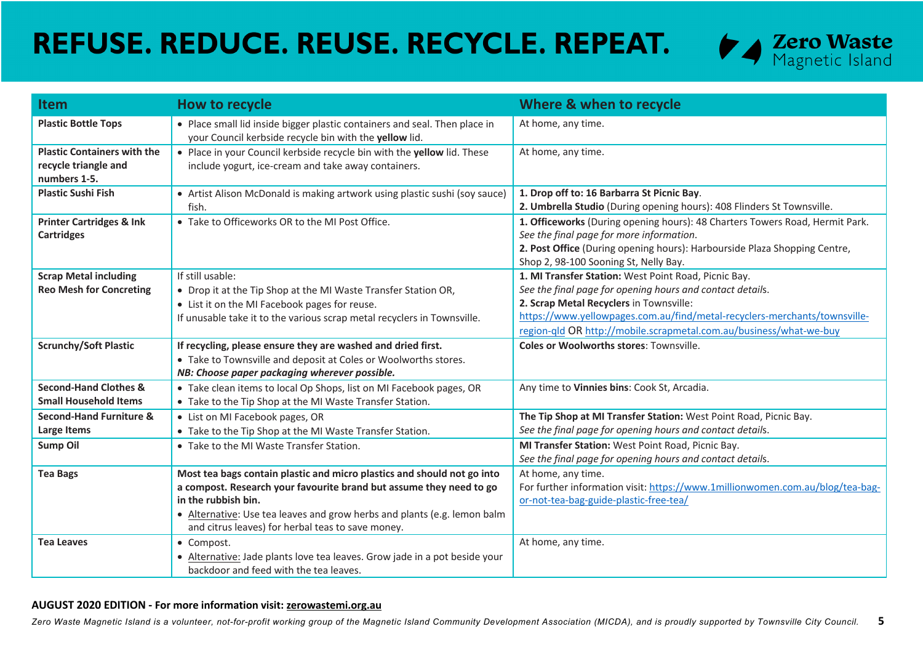

| <b>Item</b>                                                                | <b>How to recycle</b>                                                                                                                                                                                                                                                                                  | Where & when to recycle                                                                                                                                                                                                                                                                                         |
|----------------------------------------------------------------------------|--------------------------------------------------------------------------------------------------------------------------------------------------------------------------------------------------------------------------------------------------------------------------------------------------------|-----------------------------------------------------------------------------------------------------------------------------------------------------------------------------------------------------------------------------------------------------------------------------------------------------------------|
| <b>Plastic Bottle Tops</b>                                                 | • Place small lid inside bigger plastic containers and seal. Then place in<br>your Council kerbside recycle bin with the yellow lid.                                                                                                                                                                   | At home, any time.                                                                                                                                                                                                                                                                                              |
| <b>Plastic Containers with the</b><br>recycle triangle and<br>numbers 1-5. | • Place in your Council kerbside recycle bin with the yellow lid. These<br>include yogurt, ice-cream and take away containers.                                                                                                                                                                         | At home, any time.                                                                                                                                                                                                                                                                                              |
| <b>Plastic Sushi Fish</b>                                                  | • Artist Alison McDonald is making artwork using plastic sushi (soy sauce)<br>fish.                                                                                                                                                                                                                    | 1. Drop off to: 16 Barbarra St Picnic Bay.<br>2. Umbrella Studio (During opening hours): 408 Flinders St Townsville.                                                                                                                                                                                            |
| <b>Printer Cartridges &amp; Ink</b><br><b>Cartridges</b>                   | • Take to Officeworks OR to the MI Post Office.                                                                                                                                                                                                                                                        | 1. Officeworks (During opening hours): 48 Charters Towers Road, Hermit Park.<br>See the final page for more information.<br>2. Post Office (During opening hours): Harbourside Plaza Shopping Centre,<br>Shop 2, 98-100 Sooning St, Nelly Bay.                                                                  |
| <b>Scrap Metal including</b><br><b>Reo Mesh for Concreting</b>             | If still usable:<br>• Drop it at the Tip Shop at the MI Waste Transfer Station OR,<br>• List it on the MI Facebook pages for reuse.<br>If unusable take it to the various scrap metal recyclers in Townsville.                                                                                         | 1. MI Transfer Station: West Point Road, Picnic Bay.<br>See the final page for opening hours and contact details.<br>2. Scrap Metal Recyclers in Townsville:<br>https://www.yellowpages.com.au/find/metal-recyclers-merchants/townsville-<br>region-qld OR http://mobile.scrapmetal.com.au/business/what-we-buy |
| <b>Scrunchy/Soft Plastic</b>                                               | If recycling, please ensure they are washed and dried first.<br>• Take to Townsville and deposit at Coles or Woolworths stores.<br>NB: Choose paper packaging wherever possible.                                                                                                                       | <b>Coles or Woolworths stores: Townsville.</b>                                                                                                                                                                                                                                                                  |
| <b>Second-Hand Clothes &amp;</b><br><b>Small Household Items</b>           | • Take clean items to local Op Shops, list on MI Facebook pages, OR<br>• Take to the Tip Shop at the MI Waste Transfer Station.                                                                                                                                                                        | Any time to Vinnies bins: Cook St, Arcadia.                                                                                                                                                                                                                                                                     |
| Second-Hand Furniture &<br>Large Items                                     | • List on MI Facebook pages, OR<br>• Take to the Tip Shop at the MI Waste Transfer Station.                                                                                                                                                                                                            | The Tip Shop at MI Transfer Station: West Point Road, Picnic Bay.<br>See the final page for opening hours and contact details.                                                                                                                                                                                  |
| <b>Sump Oil</b>                                                            | • Take to the MI Waste Transfer Station.                                                                                                                                                                                                                                                               | MI Transfer Station: West Point Road, Picnic Bay.<br>See the final page for opening hours and contact details.                                                                                                                                                                                                  |
| <b>Tea Bags</b>                                                            | Most tea bags contain plastic and micro plastics and should not go into<br>a compost. Research your favourite brand but assume they need to go<br>in the rubbish bin.<br>• Alternative: Use tea leaves and grow herbs and plants (e.g. lemon balm<br>and citrus leaves) for herbal teas to save money. | At home, any time.<br>For further information visit: https://www.1millionwomen.com.au/blog/tea-bag-<br>or-not-tea-bag-guide-plastic-free-tea/                                                                                                                                                                   |
| <b>Tea Leaves</b>                                                          | • Compost.<br>• Alternative: Jade plants love tea leaves. Grow jade in a pot beside your<br>backdoor and feed with the tea leaves.                                                                                                                                                                     | At home, any time.                                                                                                                                                                                                                                                                                              |

### **AUGUST 2020 EDITION - For more information visit: zerowastemi.org.au**